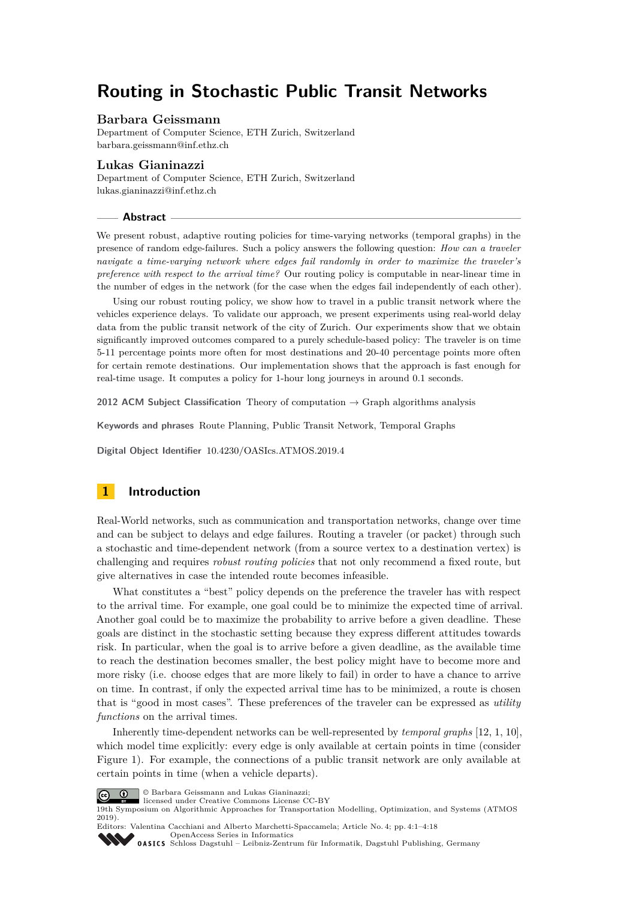# **Routing in Stochastic Public Transit Networks**

#### **Barbara Geissmann**

Department of Computer Science, ETH Zurich, Switzerland [barbara.geissmann@inf.ethz.ch](mailto:barbara.geissmann@inf.ethz.ch)

#### **Lukas Gianinazzi**

Department of Computer Science, ETH Zurich, Switzerland [lukas.gianinazzi@inf.ethz.ch](mailto:lukas.gianinazzi@inf.ethz.ch)

#### **Abstract**

We present robust, adaptive routing policies for time-varying networks (temporal graphs) in the presence of random edge-failures. Such a policy answers the following question: *How can a traveler navigate a time-varying network where edges fail randomly in order to maximize the traveler's preference with respect to the arrival time?* Our routing policy is computable in near-linear time in the number of edges in the network (for the case when the edges fail independently of each other).

Using our robust routing policy, we show how to travel in a public transit network where the vehicles experience delays. To validate our approach, we present experiments using real-world delay data from the public transit network of the city of Zurich. Our experiments show that we obtain significantly improved outcomes compared to a purely schedule-based policy: The traveler is on time 5-11 percentage points more often for most destinations and 20-40 percentage points more often for certain remote destinations. Our implementation shows that the approach is fast enough for real-time usage. It computes a policy for 1-hour long journeys in around 0*.*1 seconds.

**2012 ACM Subject Classification** Theory of computation → Graph algorithms analysis

**Keywords and phrases** Route Planning, Public Transit Network, Temporal Graphs

**Digital Object Identifier** [10.4230/OASIcs.ATMOS.2019.4](https://doi.org/10.4230/OASIcs.ATMOS.2019.4)

# **1 Introduction**

Real-World networks, such as communication and transportation networks, change over time and can be subject to delays and edge failures. Routing a traveler (or packet) through such a stochastic and time-dependent network (from a source vertex to a destination vertex) is challenging and requires *robust routing policies* that not only recommend a fixed route, but give alternatives in case the intended route becomes infeasible.

What constitutes a "best" policy depends on the preference the traveler has with respect to the arrival time. For example, one goal could be to minimize the expected time of arrival. Another goal could be to maximize the probability to arrive before a given deadline. These goals are distinct in the stochastic setting because they express different attitudes towards risk. In particular, when the goal is to arrive before a given deadline, as the available time to reach the destination becomes smaller, the best policy might have to become more and more risky (i.e. choose edges that are more likely to fail) in order to have a chance to arrive on time. In contrast, if only the expected arrival time has to be minimized, a route is chosen that is "good in most cases". These preferences of the traveler can be expressed as *utility functions* on the arrival times.

Inherently time-dependent networks can be well-represented by *temporal graphs* [\[12,](#page-12-0) [1,](#page-12-1) [10\]](#page-12-2), which model time explicitly: every edge is only available at certain points in time (consider Figure [1\)](#page-1-0). For example, the connections of a public transit network are only available at certain points in time (when a vehicle departs).



© Barbara Geissmann and Lukas Gianinazzi;

licensed under Creative Commons License CC-BY

19th Symposium on Algorithmic Approaches for Transportation Modelling, Optimization, and Systems (ATMOS 2019).

Editors: Valentina Cacchiani and Alberto Marchetti-Spaccamela; Article No. 4; pp. 4:1–4[:18](#page-17-0) [OpenAccess Series in Informatics](https://www.dagstuhl.de/oasics/)

OASICS [Schloss Dagstuhl – Leibniz-Zentrum für Informatik, Dagstuhl Publishing, Germany](https://www.dagstuhl.de)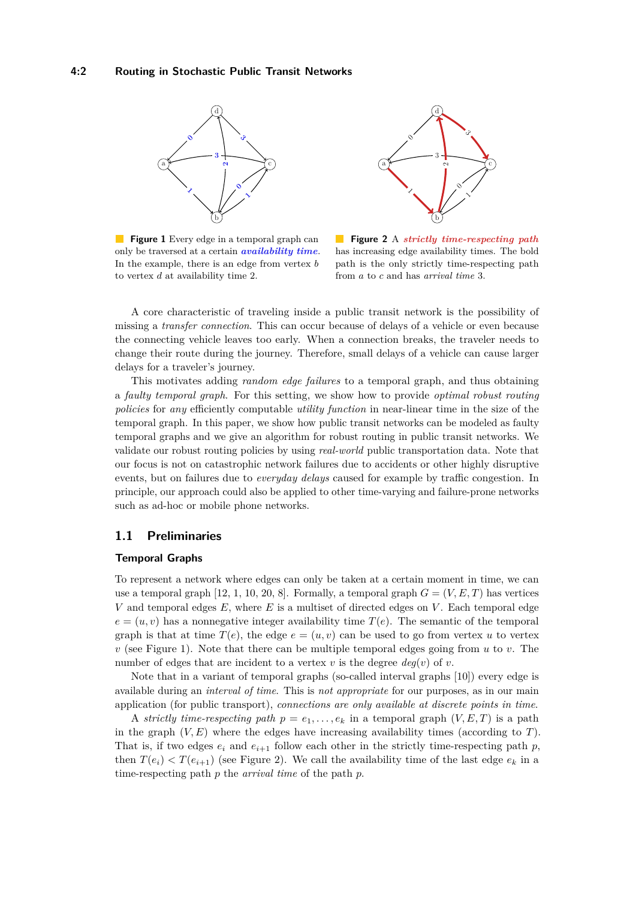<span id="page-1-0"></span>

**Figure 1** Every edge in a temporal graph can only be traversed at a certain *availability time*. In the example, there is an edge from vertex *b* to vertex *d* at availability time 2.



 $\mathcal{L}_{\mathcal{A}}$ **Figure 2** A *strictly time-respecting path* has increasing edge availability times. The bold path is the only strictly time-respecting path from *a* to *c* and has *arrival time* 3.

A core characteristic of traveling inside a public transit network is the possibility of missing a *transfer connection*. This can occur because of delays of a vehicle or even because the connecting vehicle leaves too early. When a connection breaks, the traveler needs to change their route during the journey. Therefore, small delays of a vehicle can cause larger delays for a traveler's journey.

This motivates adding *random edge failures* to a temporal graph, and thus obtaining a *faulty temporal graph*. For this setting, we show how to provide *optimal robust routing policies* for *any* efficiently computable *utility function* in near-linear time in the size of the temporal graph. In this paper, we show how public transit networks can be modeled as faulty temporal graphs and we give an algorithm for robust routing in public transit networks. We validate our robust routing policies by using *real-world* public transportation data. Note that our focus is not on catastrophic network failures due to accidents or other highly disruptive events, but on failures due to *everyday delays* caused for example by traffic congestion. In principle, our approach could also be applied to other time-varying and failure-prone networks such as ad-hoc or mobile phone networks.

# **1.1 Preliminaries**

# **Temporal Graphs**

To represent a network where edges can only be taken at a certain moment in time, we can use a temporal graph  $[12, 1, 10, 20, 8]$  $[12, 1, 10, 20, 8]$  $[12, 1, 10, 20, 8]$  $[12, 1, 10, 20, 8]$  $[12, 1, 10, 20, 8]$  $[12, 1, 10, 20, 8]$  $[12, 1, 10, 20, 8]$  $[12, 1, 10, 20, 8]$  $[12, 1, 10, 20, 8]$ . Formally, a temporal graph  $G = (V, E, T)$  has vertices *V* and temporal edges *E*, where *E* is a multiset of directed edges on *V* . Each temporal edge  $e = (u, v)$  has a nonnegative integer availability time  $T(e)$ . The semantic of the temporal graph is that at time  $T(e)$ , the edge  $e = (u, v)$  can be used to go from vertex *u* to vertex *v* (see Figure [1\)](#page-1-0). Note that there can be multiple temporal edges going from *u* to *v*. The number of edges that are incident to a vertex  $v$  is the degree  $deg(v)$  of  $v$ .

Note that in a variant of temporal graphs (so-called interval graphs [\[10\]](#page-12-2)) every edge is available during an *interval of time*. This is *not appropriate* for our purposes, as in our main application (for public transport), *connections are only available at discrete points in time*.

A *strictly time-respecting path*  $p = e_1, \ldots, e_k$  in a temporal graph  $(V, E, T)$  is a path in the graph  $(V, E)$  where the edges have increasing availability times (according to *T*). That is, if two edges  $e_i$  and  $e_{i+1}$  follow each other in the strictly time-respecting path  $p$ , then  $T(e_i) < T(e_{i+1})$  (see Figure [2\)](#page-1-0). We call the availability time of the last edge  $e_k$  in a time-respecting path *p* the *arrival time* of the path *p*.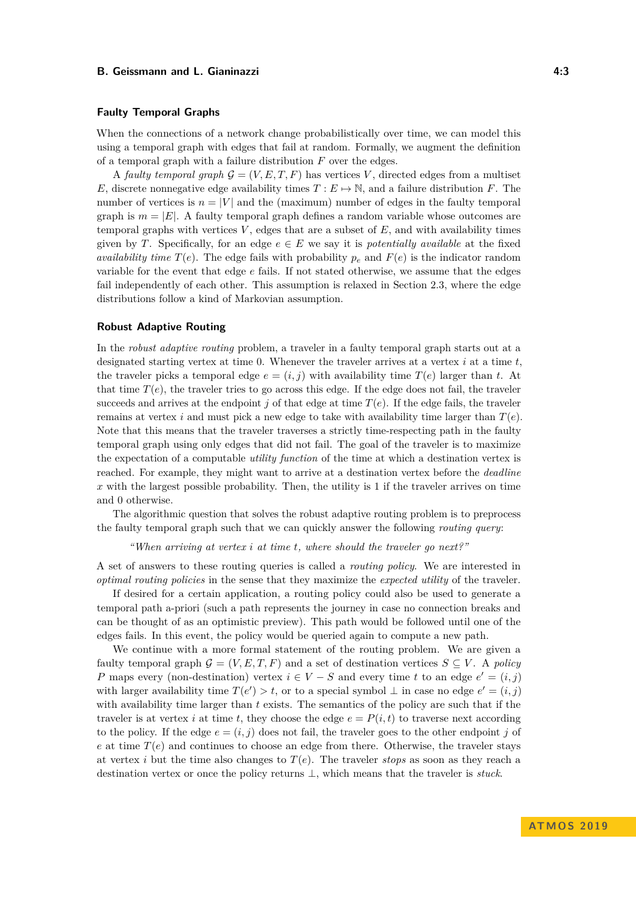#### **Faulty Temporal Graphs**

When the connections of a network change probabilistically over time, we can model this using a temporal graph with edges that fail at random. Formally, we augment the definition of a temporal graph with a failure distribution *F* over the edges.

A *faulty temporal graph*  $G = (V, E, T, F)$  has vertices V, directed edges from a multiset *E*, discrete nonnegative edge availability times  $T : E \rightarrow \mathbb{N}$ , and a failure distribution *F*. The number of vertices is  $n = |V|$  and the (maximum) number of edges in the faulty temporal graph is  $m = |E|$ . A faulty temporal graph defines a random variable whose outcomes are temporal graphs with vertices  $V$ , edges that are a subset of  $E$ , and with availability times given by *T*. Specifically, for an edge  $e \in E$  we say it is *potentially available* at the fixed *availability time*  $T(e)$ . The edge fails with probability  $p_e$  and  $F(e)$  is the indicator random variable for the event that edge *e* fails. If not stated otherwise, we assume that the edges fail independently of each other. This assumption is relaxed in Section [2.3,](#page-7-0) where the edge distributions follow a kind of Markovian assumption.

#### **Robust Adaptive Routing**

In the *robust adaptive routing* problem, a traveler in a faulty temporal graph starts out at a designated starting vertex at time 0. Whenever the traveler arrives at a vertex *i* at a time *t*, the traveler picks a temporal edge  $e = (i, j)$  with availability time  $T(e)$  larger than t. At that time  $T(e)$ , the traveler tries to go across this edge. If the edge does not fail, the traveler succeeds and arrives at the endpoint  $j$  of that edge at time  $T(e)$ . If the edge fails, the traveler remains at vertex *i* and must pick a new edge to take with availability time larger than  $T(e)$ . Note that this means that the traveler traverses a strictly time-respecting path in the faulty temporal graph using only edges that did not fail. The goal of the traveler is to maximize the expectation of a computable *utility function* of the time at which a destination vertex is reached. For example, they might want to arrive at a destination vertex before the *deadline*  $x$  with the largest possible probability. Then, the utility is 1 if the traveler arrives on time and 0 otherwise.

The algorithmic question that solves the robust adaptive routing problem is to preprocess the faulty temporal graph such that we can quickly answer the following *routing query*:

*"When arriving at vertex i at time t, where should the traveler go next?"*

A set of answers to these routing queries is called a *routing policy*. We are interested in *optimal routing policies* in the sense that they maximize the *expected utility* of the traveler.

If desired for a certain application, a routing policy could also be used to generate a temporal path a-priori (such a path represents the journey in case no connection breaks and can be thought of as an optimistic preview). This path would be followed until one of the edges fails. In this event, the policy would be queried again to compute a new path.

We continue with a more formal statement of the routing problem. We are given a faulty temporal graph  $\mathcal{G} = (V, E, T, F)$  and a set of destination vertices  $S \subseteq V$ . A *policy P* maps every (non-destination) vertex  $i \in V - S$  and every time *t* to an edge  $e' = (i, j)$ with larger availability time  $T(e') > t$ , or to a special symbol  $\perp$  in case no edge  $e' = (i, j)$ with availability time larger than *t* exists. The semantics of the policy are such that if the traveler is at vertex *i* at time *t*, they choose the edge  $e = P(i, t)$  to traverse next according to the policy. If the edge  $e = (i, j)$  does not fail, the traveler goes to the other endpoint *j* of  $e$  at time  $T(e)$  and continues to choose an edge from there. Otherwise, the traveler stays at vertex *i* but the time also changes to  $T(e)$ . The traveler *stops* as soon as they reach a destination vertex or once the policy returns ⊥, which means that the traveler is *stuck*.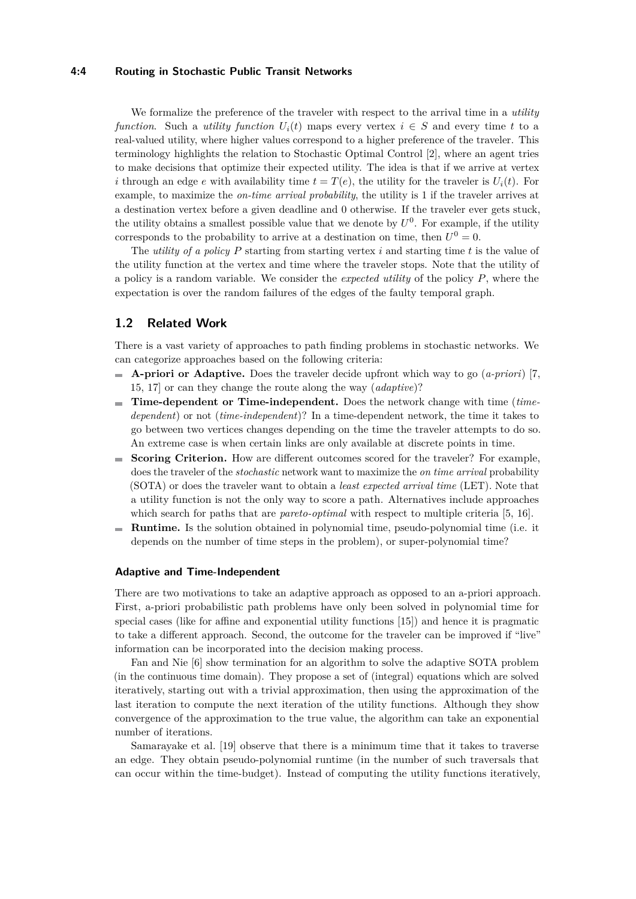#### **4:4 Routing in Stochastic Public Transit Networks**

We formalize the preference of the traveler with respect to the arrival time in a *utility function*. Such a *utility function*  $U_i(t)$  maps every vertex  $i \in S$  and every time t to a real-valued utility, where higher values correspond to a higher preference of the traveler. This terminology highlights the relation to Stochastic Optimal Control [\[2\]](#page-12-4), where an agent tries to make decisions that optimize their expected utility. The idea is that if we arrive at vertex *i* through an edge *e* with availability time  $t = T(e)$ , the utility for the traveler is  $U_i(t)$ . For example, to maximize the *on-time arrival probability*, the utility is 1 if the traveler arrives at a destination vertex before a given deadline and 0 otherwise. If the traveler ever gets stuck, the utility obtains a smallest possible value that we denote by  $U^0$ . For example, if the utility corresponds to the probability to arrive at a destination on time, then  $U^0 = 0$ .

The *utility of a policy P* starting from starting vertex *i* and starting time *t* is the value of the utility function at the vertex and time where the traveler stops. Note that the utility of a policy is a random variable. We consider the *expected utility* of the policy *P*, where the expectation is over the random failures of the edges of the faulty temporal graph.

# **1.2 Related Work**

There is a vast variety of approaches to path finding problems in stochastic networks. We can categorize approaches based on the following criteria:

- **A-priori or Adaptive.** Does the traveler decide upfront which way to go (*a-priori*) [\[7,](#page-12-5) [15,](#page-12-6) [17\]](#page-13-1) or can they change the route along the way (*adaptive*)?
- **Time-dependent or Time-independent.** Does the network change with time (*timedependent*) or not (*time-independent*)? In a time-dependent network, the time it takes to go between two vertices changes depending on the time the traveler attempts to do so. An extreme case is when certain links are only available at discrete points in time.
- **Scoring Criterion.** How are different outcomes scored for the traveler? For example, does the traveler of the *stochastic* network want to maximize the *on time arrival* probability (SOTA) or does the traveler want to obtain a *least expected arrival time* (LET). Note that a utility function is not the only way to score a path. Alternatives include approaches which search for paths that are *pareto-optimal* with respect to multiple criteria [\[5,](#page-12-7) [16\]](#page-12-8).
- **Runtime.** Is the solution obtained in polynomial time, pseudo-polynomial time (i.e. it m. depends on the number of time steps in the problem), or super-polynomial time?

#### **Adaptive and Time-Independent**

There are two motivations to take an adaptive approach as opposed to an a-priori approach. First, a-priori probabilistic path problems have only been solved in polynomial time for special cases (like for affine and exponential utility functions [\[15\]](#page-12-6)) and hence it is pragmatic to take a different approach. Second, the outcome for the traveler can be improved if "live" information can be incorporated into the decision making process.

Fan and Nie [\[6\]](#page-12-9) show termination for an algorithm to solve the adaptive SOTA problem (in the continuous time domain). They propose a set of (integral) equations which are solved iteratively, starting out with a trivial approximation, then using the approximation of the last iteration to compute the next iteration of the utility functions. Although they show convergence of the approximation to the true value, the algorithm can take an exponential number of iterations.

Samarayake et al. [\[19\]](#page-13-2) observe that there is a minimum time that it takes to traverse an edge. They obtain pseudo-polynomial runtime (in the number of such traversals that can occur within the time-budget). Instead of computing the utility functions iteratively,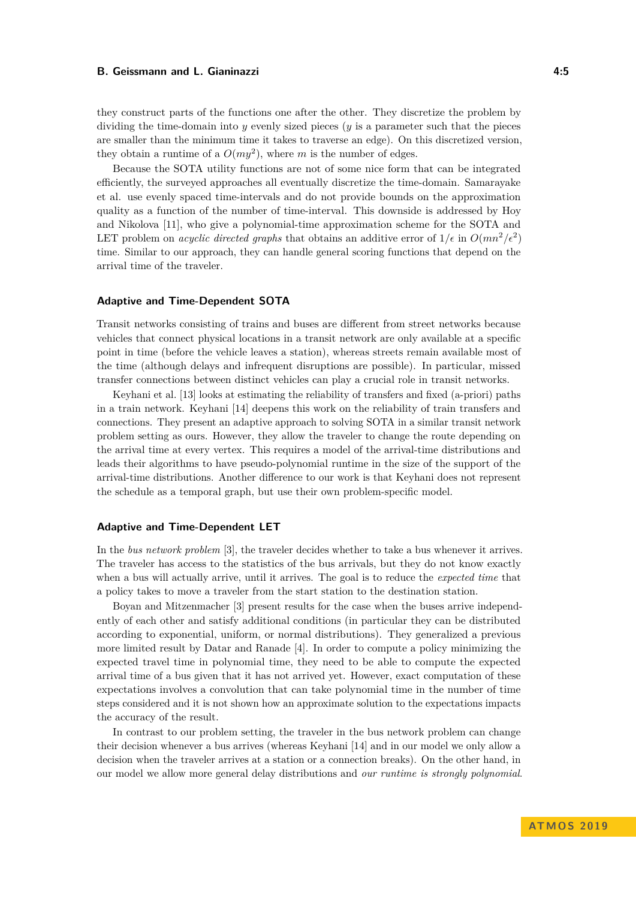they construct parts of the functions one after the other. They discretize the problem by dividing the time-domain into *y* evenly sized pieces (*y* is a parameter such that the pieces are smaller than the minimum time it takes to traverse an edge). On this discretized version, they obtain a runtime of a  $O(my^2)$ , where m is the number of edges.

Because the SOTA utility functions are not of some nice form that can be integrated efficiently, the surveyed approaches all eventually discretize the time-domain. Samarayake et al. use evenly spaced time-intervals and do not provide bounds on the approximation quality as a function of the number of time-interval. This downside is addressed by Hoy and Nikolova [\[11\]](#page-12-10), who give a polynomial-time approximation scheme for the SOTA and LET problem on *acyclic directed graphs* that obtains an additive error of  $1/\epsilon$  in  $O(mn^2/\epsilon^2)$ time. Similar to our approach, they can handle general scoring functions that depend on the arrival time of the traveler.

#### **Adaptive and Time-Dependent SOTA**

Transit networks consisting of trains and buses are different from street networks because vehicles that connect physical locations in a transit network are only available at a specific point in time (before the vehicle leaves a station), whereas streets remain available most of the time (although delays and infrequent disruptions are possible). In particular, missed transfer connections between distinct vehicles can play a crucial role in transit networks.

Keyhani et al. [\[13\]](#page-12-11) looks at estimating the reliability of transfers and fixed (a-priori) paths in a train network. Keyhani [\[14\]](#page-12-12) deepens this work on the reliability of train transfers and connections. They present an adaptive approach to solving SOTA in a similar transit network problem setting as ours. However, they allow the traveler to change the route depending on the arrival time at every vertex. This requires a model of the arrival-time distributions and leads their algorithms to have pseudo-polynomial runtime in the size of the support of the arrival-time distributions. Another difference to our work is that Keyhani does not represent the schedule as a temporal graph, but use their own problem-specific model.

#### **Adaptive and Time-Dependent LET**

In the *bus network problem* [\[3\]](#page-12-13), the traveler decides whether to take a bus whenever it arrives. The traveler has access to the statistics of the bus arrivals, but they do not know exactly when a bus will actually arrive, until it arrives. The goal is to reduce the *expected time* that a policy takes to move a traveler from the start station to the destination station.

Boyan and Mitzenmacher [\[3\]](#page-12-13) present results for the case when the buses arrive independently of each other and satisfy additional conditions (in particular they can be distributed according to exponential, uniform, or normal distributions). They generalized a previous more limited result by Datar and Ranade [\[4\]](#page-12-14). In order to compute a policy minimizing the expected travel time in polynomial time, they need to be able to compute the expected arrival time of a bus given that it has not arrived yet. However, exact computation of these expectations involves a convolution that can take polynomial time in the number of time steps considered and it is not shown how an approximate solution to the expectations impacts the accuracy of the result.

In contrast to our problem setting, the traveler in the bus network problem can change their decision whenever a bus arrives (whereas Keyhani [\[14\]](#page-12-12) and in our model we only allow a decision when the traveler arrives at a station or a connection breaks). On the other hand, in our model we allow more general delay distributions and *our runtime is strongly polynomial*.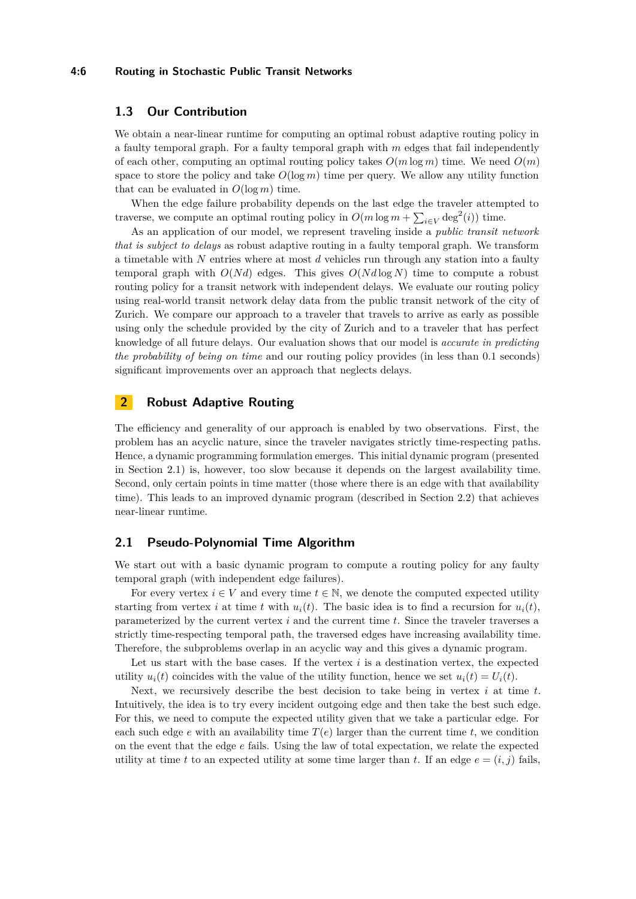#### **4:6 Routing in Stochastic Public Transit Networks**

# **1.3 Our Contribution**

We obtain a near-linear runtime for computing an optimal robust adaptive routing policy in a faulty temporal graph. For a faulty temporal graph with *m* edges that fail independently of each other, computing an optimal routing policy takes  $O(m \log m)$  time. We need  $O(m)$ space to store the policy and take  $O(\log m)$  time per query. We allow any utility function that can be evaluated in  $O(\log m)$  time.

When the edge failure probability depends on the last edge the traveler attempted to traverse, we compute an optimal routing policy in  $O(m \log m + \sum_{i \in V} \deg^2(i))$  time.

As an application of our model, we represent traveling inside a *public transit network that is subject to delays* as robust adaptive routing in a faulty temporal graph. We transform a timetable with *N* entries where at most *d* vehicles run through any station into a faulty temporal graph with  $O(Nd)$  edges. This gives  $O(Nd \log N)$  time to compute a robust routing policy for a transit network with independent delays. We evaluate our routing policy using real-world transit network delay data from the public transit network of the city of Zurich. We compare our approach to a traveler that travels to arrive as early as possible using only the schedule provided by the city of Zurich and to a traveler that has perfect knowledge of all future delays. Our evaluation shows that our model is *accurate in predicting the probability of being on time* and our routing policy provides (in less than 0.1 seconds) significant improvements over an approach that neglects delays.

# <span id="page-5-1"></span>**2 Robust Adaptive Routing**

The efficiency and generality of our approach is enabled by two observations. First, the problem has an acyclic nature, since the traveler navigates strictly time-respecting paths. Hence, a dynamic programming formulation emerges. This initial dynamic program (presented in Section [2.1\)](#page-5-0) is, however, too slow because it depends on the largest availability time. Second, only certain points in time matter (those where there is an edge with that availability time). This leads to an improved dynamic program (described in Section [2.2\)](#page-6-0) that achieves near-linear runtime.

# <span id="page-5-0"></span>**2.1 Pseudo-Polynomial Time Algorithm**

We start out with a basic dynamic program to compute a routing policy for any faulty temporal graph (with independent edge failures).

For every vertex  $i \in V$  and every time  $t \in \mathbb{N}$ , we denote the computed expected utility starting from vertex *i* at time *t* with  $u_i(t)$ . The basic idea is to find a recursion for  $u_i(t)$ , parameterized by the current vertex *i* and the current time *t*. Since the traveler traverses a strictly time-respecting temporal path, the traversed edges have increasing availability time. Therefore, the subproblems overlap in an acyclic way and this gives a dynamic program.

Let us start with the base cases. If the vertex *i* is a destination vertex, the expected utility  $u_i(t)$  coincides with the value of the utility function, hence we set  $u_i(t) = U_i(t)$ .

Next, we recursively describe the best decision to take being in vertex *i* at time *t*. Intuitively, the idea is to try every incident outgoing edge and then take the best such edge. For this, we need to compute the expected utility given that we take a particular edge. For each such edge  $e$  with an availability time  $T(e)$  larger than the current time  $t$ , we condition on the event that the edge *e* fails. Using the law of total expectation, we relate the expected utility at time *t* to an expected utility at some time larger than *t*. If an edge  $e = (i, j)$  fails,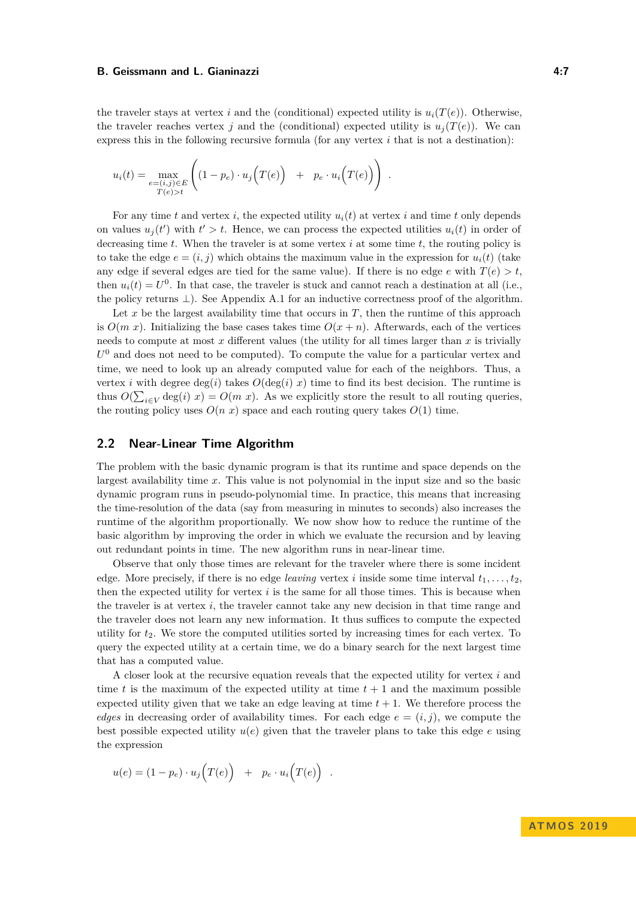the traveler stays at vertex *i* and the (conditional) expected utility is  $u_i(T(e))$ . Otherwise, the traveler reaches vertex *j* and the (conditional) expected utility is  $u_j(T(e))$ . We can express this in the following recursive formula (for any vertex  $i$  that is not a destination):

$$
u_i(t) = \max_{\substack{e = (i,j) \in E \\ T(e) > t}} \left( (1 - p_e) \cdot u_j\left(T(e)\right) + p_e \cdot u_i\left(T(e)\right) \right).
$$

For any time *t* and vertex *i*, the expected utility  $u_i(t)$  at vertex *i* and time *t* only depends on values  $u_j(t')$  with  $t' > t$ . Hence, we can process the expected utilities  $u_i(t)$  in order of decreasing time *t*. When the traveler is at some vertex *i* at some time *t*, the routing policy is to take the edge  $e = (i, j)$  which obtains the maximum value in the expression for  $u_i(t)$  (take any edge if several edges are tied for the same value). If there is no edge *e* with  $T(e) > t$ , then  $u_i(t) = U^0$ . In that case, the traveler is stuck and cannot reach a destination at all (i.e., the policy returns  $\perp$ ). See Appendix [A.1](#page-13-3) for an inductive correctness proof of the algorithm.

Let  $x$  be the largest availability time that occurs in  $T$ , then the runtime of this approach is  $O(m x)$ . Initializing the base cases takes time  $O(x + n)$ . Afterwards, each of the vertices needs to compute at most *x* different values (the utility for all times larger than *x* is trivially  $U^0$  and does not need to be computed). To compute the value for a particular vertex and time, we need to look up an already computed value for each of the neighbors. Thus, a vertex *i* with degree deg(*i*) takes  $O(\deg(i) x)$  time to find its best decision. The runtime is thus  $O(\sum_{i\in V} \deg(i) x) = O(m x)$ . As we explicitly store the result to all routing queries, the routing policy uses  $O(n x)$  space and each routing query takes  $O(1)$  time.

### <span id="page-6-0"></span>**2.2 Near-Linear Time Algorithm**

The problem with the basic dynamic program is that its runtime and space depends on the largest availability time *x*. This value is not polynomial in the input size and so the basic dynamic program runs in pseudo-polynomial time. In practice, this means that increasing the time-resolution of the data (say from measuring in minutes to seconds) also increases the runtime of the algorithm proportionally. We now show how to reduce the runtime of the basic algorithm by improving the order in which we evaluate the recursion and by leaving out redundant points in time. The new algorithm runs in near-linear time.

Observe that only those times are relevant for the traveler where there is some incident edge. More precisely, if there is no edge *leaving* vertex *i* inside some time interval  $t_1, \ldots, t_2$ , then the expected utility for vertex  $i$  is the same for all those times. This is because when the traveler is at vertex *i*, the traveler cannot take any new decision in that time range and the traveler does not learn any new information. It thus suffices to compute the expected utility for *t*2. We store the computed utilities sorted by increasing times for each vertex. To query the expected utility at a certain time, we do a binary search for the next largest time that has a computed value.

A closer look at the recursive equation reveals that the expected utility for vertex *i* and time *t* is the maximum of the expected utility at time  $t + 1$  and the maximum possible expected utility given that we take an edge leaving at time  $t + 1$ . We therefore process the *edges* in decreasing order of availability times. For each edge  $e = (i, j)$ , we compute the best possible expected utility  $u(e)$  given that the traveler plans to take this edge  $e$  using the expression

$$
u(e) = (1 - p_e) \cdot u_j(T(e)) + p_e \cdot u_i(T(e)) .
$$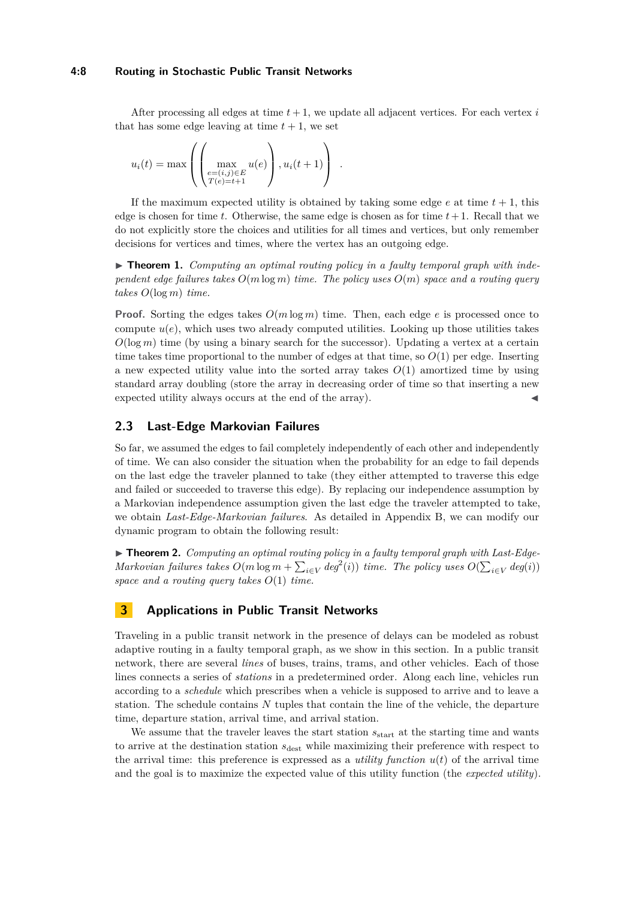#### **4:8 Routing in Stochastic Public Transit Networks**

After processing all edges at time  $t + 1$ , we update all adjacent vertices. For each vertex  $i$ that has some edge leaving at time  $t + 1$ , we set

$$
u_i(t) = \max \left( \left( \max_{\substack{e = (i,j) \in E \\ T(e) = t+1}} u(e) \right), u_i(t+1) \right) .
$$

If the maximum expected utility is obtained by taking some edge  $e$  at time  $t + 1$ , this edge is chosen for time  $t$ . Otherwise, the same edge is chosen as for time  $t+1$ . Recall that we do not explicitly store the choices and utilities for all times and vertices, but only remember decisions for vertices and times, where the vertex has an outgoing edge.

<span id="page-7-1"></span>▶ **Theorem 1.** *Computing an optimal routing policy in a faulty temporal graph with independent edge failures takes O*(*m* log *m*) *time. The policy uses O*(*m*) *space and a routing query takes O*(log *m*) *time.*

**Proof.** Sorting the edges takes  $O(m \log m)$  time. Then, each edge *e* is processed once to compute  $u(e)$ , which uses two already computed utilities. Looking up those utilities takes  $O(\log m)$  time (by using a binary search for the successor). Updating a vertex at a certain time takes time proportional to the number of edges at that time, so  $O(1)$  per edge. Inserting a new expected utility value into the sorted array takes  $O(1)$  amortized time by using standard array doubling (store the array in decreasing order of time so that inserting a new expected utility always occurs at the end of the array).

# <span id="page-7-0"></span>**2.3 Last-Edge Markovian Failures**

So far, we assumed the edges to fail completely independently of each other and independently of time. We can also consider the situation when the probability for an edge to fail depends on the last edge the traveler planned to take (they either attempted to traverse this edge and failed or succeeded to traverse this edge). By replacing our independence assumption by a Markovian independence assumption given the last edge the traveler attempted to take, we obtain *Last-Edge-Markovian failures*. As detailed in Appendix [B,](#page-15-0) we can modify our dynamic program to obtain the following result:

<span id="page-7-2"></span>▶ **Theorem 2.** *Computing an optimal routing policy in a faulty temporal graph with Last-Edge-Markovian failures takes*  $O(m \log m + \sum_{i \in V} deg^2(i))$  *time. The policy uses*  $O(\sum_{i \in V} deg(i))$ *space and a routing query takes O*(1) *time.*

### **3 Applications in Public Transit Networks**

Traveling in a public transit network in the presence of delays can be modeled as robust adaptive routing in a faulty temporal graph, as we show in this section. In a public transit network, there are several *lines* of buses, trains, trams, and other vehicles. Each of those lines connects a series of *stations* in a predetermined order. Along each line, vehicles run according to a *schedule* which prescribes when a vehicle is supposed to arrive and to leave a station. The schedule contains *N* tuples that contain the line of the vehicle, the departure time, departure station, arrival time, and arrival station.

We assume that the traveler leaves the start station  $s_{\text{start}}$  at the starting time and wants to arrive at the destination station  $s_{\text{dest}}$  while maximizing their preference with respect to the arrival time: this preference is expressed as a *utility function*  $u(t)$  of the arrival time and the goal is to maximize the expected value of this utility function (the *expected utility*).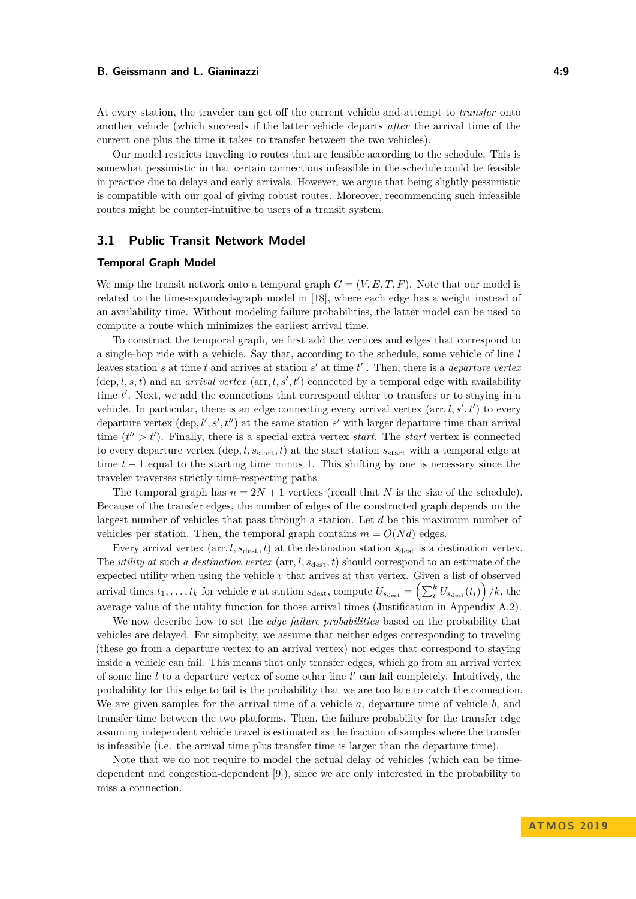At every station, the traveler can get off the current vehicle and attempt to *transfer* onto another vehicle (which succeeds if the latter vehicle departs *after* the arrival time of the current one plus the time it takes to transfer between the two vehicles).

Our model restricts traveling to routes that are feasible according to the schedule. This is somewhat pessimistic in that certain connections infeasible in the schedule could be feasible in practice due to delays and early arrivals. However, we argue that being slightly pessimistic is compatible with our goal of giving robust routes. Moreover, recommending such infeasible routes might be counter-intuitive to users of a transit system.

# <span id="page-8-0"></span>**3.1 Public Transit Network Model**

#### **Temporal Graph Model**

We map the transit network onto a temporal graph  $G = (V, E, T, F)$ . Note that our model is related to the time-expanded-graph model in [\[18\]](#page-13-4), where each edge has a weight instead of an availability time. Without modeling failure probabilities, the latter model can be used to compute a route which minimizes the earliest arrival time.

To construct the temporal graph, we first add the vertices and edges that correspond to a single-hop ride with a vehicle. Say that, according to the schedule, some vehicle of line *l* leaves station  $s$  at time  $t$  and arrives at station  $s'$  at time  $t'$ . Then, there is a *departure vertex*  $(\text{dep}, l, s, t)$  and an *arrival vertex*  $(\text{arr}, l, s', t')$  connected by a temporal edge with availability time t'. Next, we add the connections that correspond either to transfers or to staying in a vehicle. In particular, there is an edge connecting every arrival vertex  $(\text{arr}, l, s', t')$  to every departure vertex  $(\text{dep}, l', s', t'')$  at the same station  $s'$  with larger departure time than arrival time  $(t'' > t')$ . Finally, there is a special extra vertex *start*. The *start* vertex is connected to every departure vertex  $(\text{dep}, l, s_{\text{start}}, t)$  at the start station  $s_{\text{start}}$  with a temporal edge at time  $t-1$  equal to the starting time minus 1. This shifting by one is necessary since the traveler traverses strictly time-respecting paths.

The temporal graph has  $n = 2N + 1$  vertices (recall that N is the size of the schedule). Because of the transfer edges, the number of edges of the constructed graph depends on the largest number of vehicles that pass through a station. Let *d* be this maximum number of vehicles per station. Then, the temporal graph contains  $m = O(Nd)$  edges.

Every arrival vertex  $(\text{arr}, l, s_{\text{dest}}, t)$  at the destination station  $s_{\text{dest}}$  is a destination vertex. The *utility at* such *a destination vertex* (arr*, l, s*dest*, t*) should correspond to an estimate of the expected utility when using the vehicle *v* that arrives at that vertex. Given a list of observed arrival times  $t_1, \ldots, t_k$  for vehicle *v* at station  $s_{\text{dest}}$ , compute  $U_{s_{\text{dest}}} = \left(\sum_{i}^{k} U_{s_{\text{dest}}}(t_i)\right) / k$ , the average value of the utility function for those arrival times (Justification in Appendix [A.2\)](#page-14-0).

We now describe how to set the *edge failure probabilities* based on the probability that vehicles are delayed. For simplicity, we assume that neither edges corresponding to traveling (these go from a departure vertex to an arrival vertex) nor edges that correspond to staying inside a vehicle can fail. This means that only transfer edges, which go from an arrival vertex of some line  $l$  to a departure vertex of some other line  $l'$  can fail completely. Intuitively, the probability for this edge to fail is the probability that we are too late to catch the connection. We are given samples for the arrival time of a vehicle *a*, departure time of vehicle *b*, and transfer time between the two platforms. Then, the failure probability for the transfer edge assuming independent vehicle travel is estimated as the fraction of samples where the transfer is infeasible (i.e. the arrival time plus transfer time is larger than the departure time).

Note that we do not require to model the actual delay of vehicles (which can be timedependent and congestion-dependent [\[9\]](#page-12-15)), since we are only interested in the probability to miss a connection.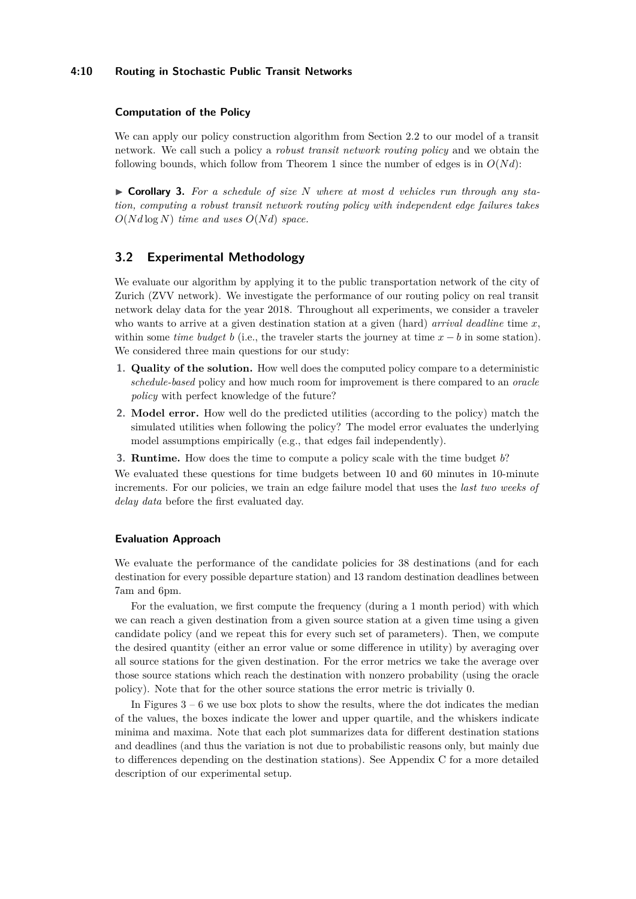#### **4:10 Routing in Stochastic Public Transit Networks**

#### **Computation of the Policy**

We can apply our policy construction algorithm from Section [2.2](#page-6-0) to our model of a transit network. We call such a policy a *robust transit network routing policy* and we obtain the following bounds, which follow from Theorem [1](#page-7-1) since the number of edges is in  $O(Nd)$ :

▶ Corollary 3. For a schedule of size N where at most d vehicles run through any sta*tion, computing a robust transit network routing policy with independent edge failures takes*  $O(N d \log N)$  *time and uses*  $O(N d)$  *space.* 

### **3.2 Experimental Methodology**

We evaluate our algorithm by applying it to the public transportation network of the city of Zurich (ZVV network). We investigate the performance of our routing policy on real transit network delay data for the year 2018. Throughout all experiments, we consider a traveler who wants to arrive at a given destination station at a given (hard) *arrival deadline* time *x*, within some *time budget b* (i.e., the traveler starts the journey at time  $x - b$  in some station). We considered three main questions for our study:

- **1. Quality of the solution.** How well does the computed policy compare to a deterministic *schedule-based* policy and how much room for improvement is there compared to an *oracle policy* with perfect knowledge of the future?
- **2. Model error.** How well do the predicted utilities (according to the policy) match the simulated utilities when following the policy? The model error evaluates the underlying model assumptions empirically (e.g., that edges fail independently).
- **3. Runtime.** How does the time to compute a policy scale with the time budget *b*?

We evaluated these questions for time budgets between 10 and 60 minutes in 10-minute increments. For our policies, we train an edge failure model that uses the *last two weeks of delay data* before the first evaluated day.

#### **Evaluation Approach**

We evaluate the performance of the candidate policies for 38 destinations (and for each destination for every possible departure station) and 13 random destination deadlines between 7am and 6pm.

For the evaluation, we first compute the frequency (during a 1 month period) with which we can reach a given destination from a given source station at a given time using a given candidate policy (and we repeat this for every such set of parameters). Then, we compute the desired quantity (either an error value or some difference in utility) by averaging over all source stations for the given destination. For the error metrics we take the average over those source stations which reach the destination with nonzero probability (using the oracle policy). Note that for the other source stations the error metric is trivially 0.

In Figures  $3 - 6$  $3 - 6$  we use box plots to show the results, where the dot indicates the median of the values, the boxes indicate the lower and upper quartile, and the whiskers indicate minima and maxima. Note that each plot summarizes data for different destination stations and deadlines (and thus the variation is not due to probabilistic reasons only, but mainly due to differences depending on the destination stations). See Appendix [C](#page-16-0) for a more detailed description of our experimental setup.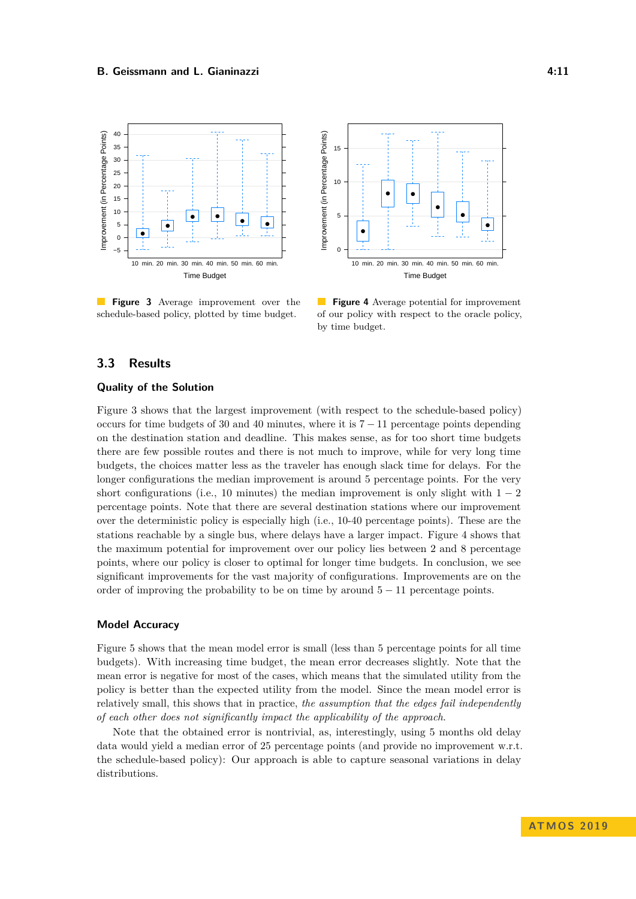<span id="page-10-0"></span>

**Figure 3** Average improvement over the schedule-based policy, plotted by time budget.



**Figure 4** Average potential for improvement of our policy with respect to the oracle policy, by time budget.

# **3.3 Results**

#### **Quality of the Solution**

Figure [3](#page-10-0) shows that the largest improvement (with respect to the schedule-based policy) occurs for time budgets of 30 and 40 minutes, where it is  $7 - 11$  percentage points depending on the destination station and deadline. This makes sense, as for too short time budgets there are few possible routes and there is not much to improve, while for very long time budgets, the choices matter less as the traveler has enough slack time for delays. For the longer configurations the median improvement is around 5 percentage points. For the very short configurations (i.e., 10 minutes) the median improvement is only slight with  $1 - 2$ percentage points. Note that there are several destination stations where our improvement over the deterministic policy is especially high (i.e., 10-40 percentage points). These are the stations reachable by a single bus, where delays have a larger impact. Figure [4](#page-10-0) shows that the maximum potential for improvement over our policy lies between 2 and 8 percentage points, where our policy is closer to optimal for longer time budgets. In conclusion, we see significant improvements for the vast majority of configurations. Improvements are on the order of improving the probability to be on time by around  $5 - 11$  percentage points.

# **Model Accuracy**

Figure [5](#page-11-0) shows that the mean model error is small (less than 5 percentage points for all time budgets). With increasing time budget, the mean error decreases slightly. Note that the mean error is negative for most of the cases, which means that the simulated utility from the policy is better than the expected utility from the model. Since the mean model error is relatively small, this shows that in practice, *the assumption that the edges fail independently of each other does not significantly impact the applicability of the approach*.

Note that the obtained error is nontrivial, as, interestingly, using 5 months old delay data would yield a median error of 25 percentage points (and provide no improvement w.r.t. the schedule-based policy): Our approach is able to capture seasonal variations in delay distributions.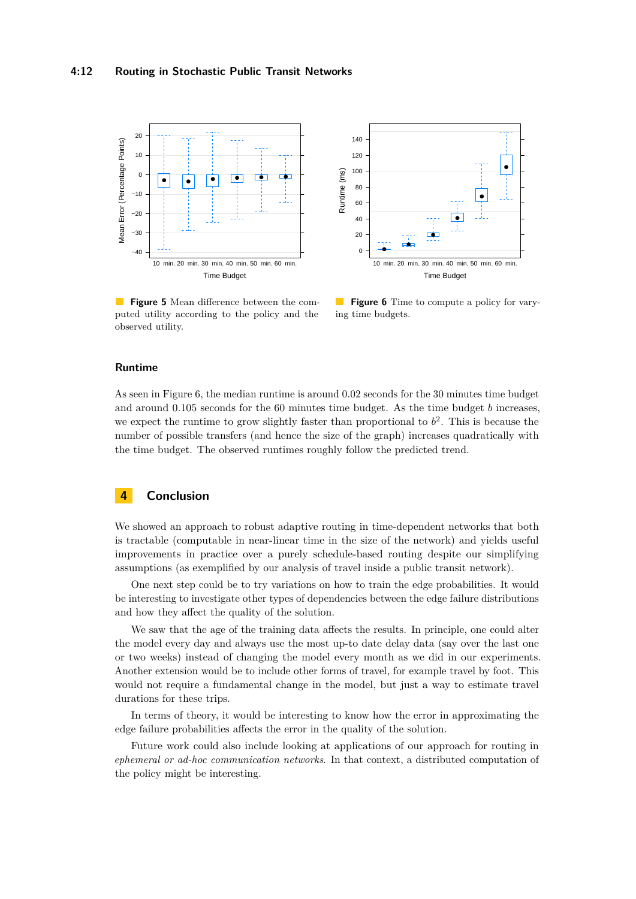<span id="page-11-0"></span>

**Figure 5** Mean difference between the computed utility according to the policy and the observed utility.



 $\mathcal{L}^{\text{max}}$ **Figure 6** Time to compute a policy for varying time budgets.

### **Runtime**

As seen in Figure [6,](#page-11-0) the median runtime is around 0*.*02 seconds for the 30 minutes time budget and around 0*.*105 seconds for the 60 minutes time budget. As the time budget *b* increases, we expect the runtime to grow slightly faster than proportional to  $b^2$ . This is because the number of possible transfers (and hence the size of the graph) increases quadratically with the time budget. The observed runtimes roughly follow the predicted trend.

# **4 Conclusion**

We showed an approach to robust adaptive routing in time-dependent networks that both is tractable (computable in near-linear time in the size of the network) and yields useful improvements in practice over a purely schedule-based routing despite our simplifying assumptions (as exemplified by our analysis of travel inside a public transit network).

One next step could be to try variations on how to train the edge probabilities. It would be interesting to investigate other types of dependencies between the edge failure distributions and how they affect the quality of the solution.

We saw that the age of the training data affects the results. In principle, one could alter the model every day and always use the most up-to date delay data (say over the last one or two weeks) instead of changing the model every month as we did in our experiments. Another extension would be to include other forms of travel, for example travel by foot. This would not require a fundamental change in the model, but just a way to estimate travel durations for these trips.

In terms of theory, it would be interesting to know how the error in approximating the edge failure probabilities affects the error in the quality of the solution.

Future work could also include looking at applications of our approach for routing in *ephemeral or ad-hoc communication networks*. In that context, a distributed computation of the policy might be interesting.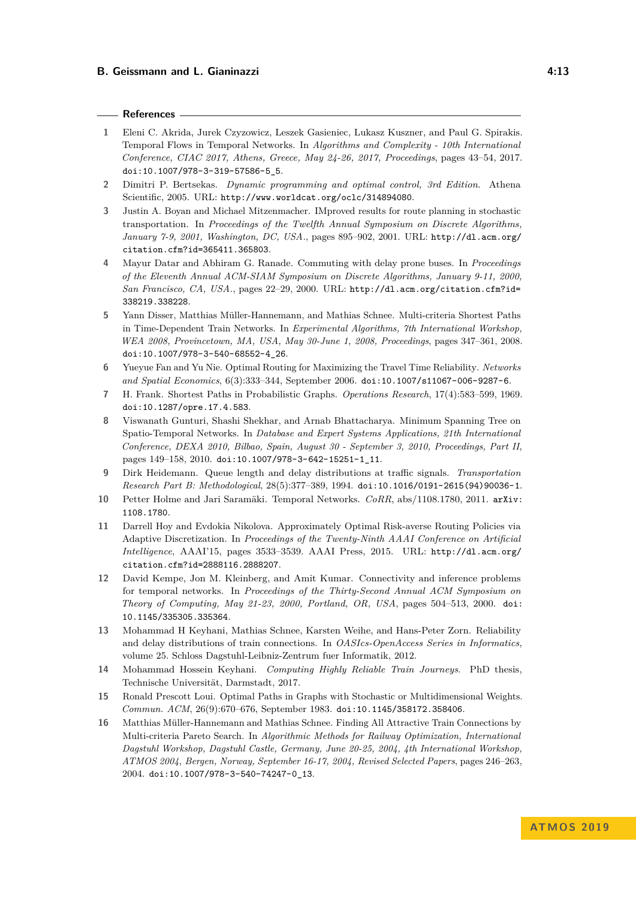#### **References**

- <span id="page-12-1"></span>**1** Eleni C. Akrida, Jurek Czyzowicz, Leszek Gasieniec, Lukasz Kuszner, and Paul G. Spirakis. Temporal Flows in Temporal Networks. In *Algorithms and Complexity - 10th International Conference, CIAC 2017, Athens, Greece, May 24-26, 2017, Proceedings*, pages 43–54, 2017. [doi:10.1007/978-3-319-57586-5\\_5](https://doi.org/10.1007/978-3-319-57586-5_5).
- <span id="page-12-4"></span>**2** Dimitri P. Bertsekas. *Dynamic programming and optimal control, 3rd Edition*. Athena Scientific, 2005. URL: <http://www.worldcat.org/oclc/314894080>.
- <span id="page-12-13"></span>**3** Justin A. Boyan and Michael Mitzenmacher. IMproved results for route planning in stochastic transportation. In *Proceedings of the Twelfth Annual Symposium on Discrete Algorithms, January 7-9, 2001, Washington, DC, USA.*, pages 895–902, 2001. URL: [http://dl.acm.org/](http://dl.acm.org/citation.cfm?id=365411.365803) [citation.cfm?id=365411.365803](http://dl.acm.org/citation.cfm?id=365411.365803).
- <span id="page-12-14"></span>**4** Mayur Datar and Abhiram G. Ranade. Commuting with delay prone buses. In *Proceedings of the Eleventh Annual ACM-SIAM Symposium on Discrete Algorithms, January 9-11, 2000, San Francisco, CA, USA.*, pages 22–29, 2000. URL: [http://dl.acm.org/citation.cfm?id=](http://dl.acm.org/citation.cfm?id=338219.338228) [338219.338228](http://dl.acm.org/citation.cfm?id=338219.338228).
- <span id="page-12-7"></span>**5** Yann Disser, Matthias Müller-Hannemann, and Mathias Schnee. Multi-criteria Shortest Paths in Time-Dependent Train Networks. In *Experimental Algorithms, 7th International Workshop, WEA 2008, Provincetown, MA, USA, May 30-June 1, 2008, Proceedings*, pages 347–361, 2008. [doi:10.1007/978-3-540-68552-4\\_26](https://doi.org/10.1007/978-3-540-68552-4_26).
- <span id="page-12-9"></span>**6** Yueyue Fan and Yu Nie. Optimal Routing for Maximizing the Travel Time Reliability. *Networks and Spatial Economics*, 6(3):333–344, September 2006. [doi:10.1007/s11067-006-9287-6](https://doi.org/10.1007/s11067-006-9287-6).
- <span id="page-12-5"></span>**7** H. Frank. Shortest Paths in Probabilistic Graphs. *Operations Research*, 17(4):583–599, 1969. [doi:10.1287/opre.17.4.583](https://doi.org/10.1287/opre.17.4.583).
- <span id="page-12-3"></span>**8** Viswanath Gunturi, Shashi Shekhar, and Arnab Bhattacharya. Minimum Spanning Tree on Spatio-Temporal Networks. In *Database and Expert Systems Applications, 21th International Conference, DEXA 2010, Bilbao, Spain, August 30 - September 3, 2010, Proceedings, Part II*, pages 149–158, 2010. [doi:10.1007/978-3-642-15251-1\\_11](https://doi.org/10.1007/978-3-642-15251-1_11).
- <span id="page-12-15"></span>**9** Dirk Heidemann. Queue length and delay distributions at traffic signals. *Transportation Research Part B: Methodological*, 28(5):377–389, 1994. [doi:10.1016/0191-2615\(94\)90036-1](https://doi.org/10.1016/0191-2615(94)90036-1).
- <span id="page-12-2"></span>**10** Petter Holme and Jari Saramäki. Temporal Networks. *CoRR*, abs/1108.1780, 2011. [arXiv:](http://arxiv.org/abs/1108.1780) [1108.1780](http://arxiv.org/abs/1108.1780).
- <span id="page-12-10"></span>**11** Darrell Hoy and Evdokia Nikolova. Approximately Optimal Risk-averse Routing Policies via Adaptive Discretization. In *Proceedings of the Twenty-Ninth AAAI Conference on Artificial Intelligence*, AAAI'15, pages 3533–3539. AAAI Press, 2015. URL: [http://dl.acm.org/](http://dl.acm.org/citation.cfm?id=2888116.2888207) [citation.cfm?id=2888116.2888207](http://dl.acm.org/citation.cfm?id=2888116.2888207).
- <span id="page-12-0"></span>**12** David Kempe, Jon M. Kleinberg, and Amit Kumar. Connectivity and inference problems for temporal networks. In *Proceedings of the Thirty-Second Annual ACM Symposium on Theory of Computing, May 21-23, 2000, Portland, OR, USA*, pages 504–513, 2000. [doi:](https://doi.org/10.1145/335305.335364) [10.1145/335305.335364](https://doi.org/10.1145/335305.335364).
- <span id="page-12-11"></span>**13** Mohammad H Keyhani, Mathias Schnee, Karsten Weihe, and Hans-Peter Zorn. Reliability and delay distributions of train connections. In *OASIcs-OpenAccess Series in Informatics*, volume 25. Schloss Dagstuhl-Leibniz-Zentrum fuer Informatik, 2012.
- <span id="page-12-12"></span>**14** Mohammad Hossein Keyhani. *Computing Highly Reliable Train Journeys*. PhD thesis, Technische Universität, Darmstadt, 2017.
- <span id="page-12-6"></span>**15** Ronald Prescott Loui. Optimal Paths in Graphs with Stochastic or Multidimensional Weights. *Commun. ACM*, 26(9):670–676, September 1983. [doi:10.1145/358172.358406](https://doi.org/10.1145/358172.358406).
- <span id="page-12-8"></span>**16** Matthias Müller-Hannemann and Mathias Schnee. Finding All Attractive Train Connections by Multi-criteria Pareto Search. In *Algorithmic Methods for Railway Optimization, International Dagstuhl Workshop, Dagstuhl Castle, Germany, June 20-25, 2004, 4th International Workshop, ATMOS 2004, Bergen, Norway, September 16-17, 2004, Revised Selected Papers*, pages 246–263, 2004. [doi:10.1007/978-3-540-74247-0\\_13](https://doi.org/10.1007/978-3-540-74247-0_13).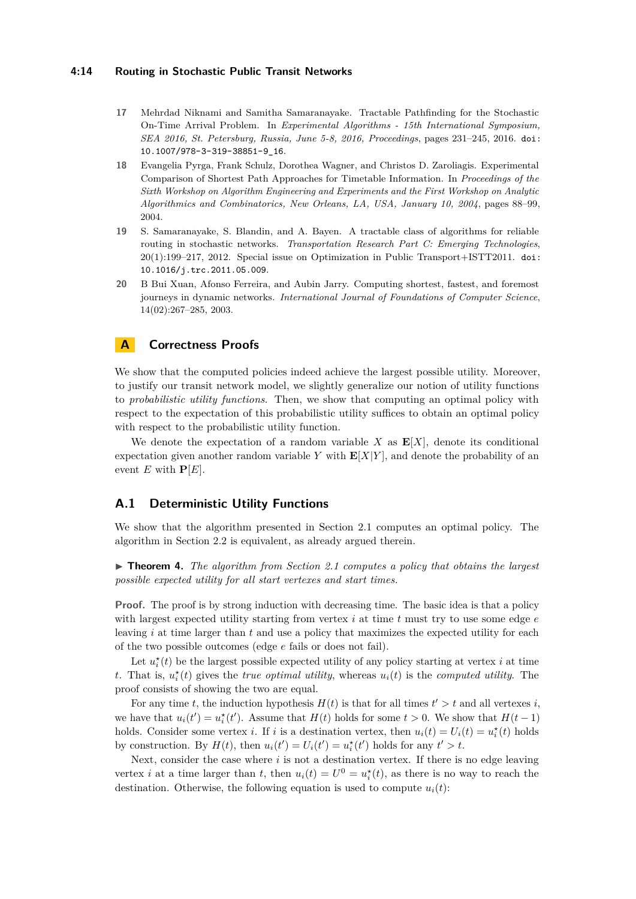#### **4:14 Routing in Stochastic Public Transit Networks**

- <span id="page-13-1"></span>**17** Mehrdad Niknami and Samitha Samaranayake. Tractable Pathfinding for the Stochastic On-Time Arrival Problem. In *Experimental Algorithms - 15th International Symposium, SEA 2016, St. Petersburg, Russia, June 5-8, 2016, Proceedings*, pages 231–245, 2016. [doi:](https://doi.org/10.1007/978-3-319-38851-9_16) [10.1007/978-3-319-38851-9\\_16](https://doi.org/10.1007/978-3-319-38851-9_16).
- <span id="page-13-4"></span>**18** Evangelia Pyrga, Frank Schulz, Dorothea Wagner, and Christos D. Zaroliagis. Experimental Comparison of Shortest Path Approaches for Timetable Information. In *Proceedings of the Sixth Workshop on Algorithm Engineering and Experiments and the First Workshop on Analytic Algorithmics and Combinatorics, New Orleans, LA, USA, January 10, 2004*, pages 88–99, 2004.
- <span id="page-13-2"></span>**19** S. Samaranayake, S. Blandin, and A. Bayen. A tractable class of algorithms for reliable routing in stochastic networks. *Transportation Research Part C: Emerging Technologies*, 20(1):199–217, 2012. Special issue on Optimization in Public Transport+ISTT2011. [doi:](https://doi.org/10.1016/j.trc.2011.05.009) [10.1016/j.trc.2011.05.009](https://doi.org/10.1016/j.trc.2011.05.009).
- <span id="page-13-0"></span>**20** B Bui Xuan, Afonso Ferreira, and Aubin Jarry. Computing shortest, fastest, and foremost journeys in dynamic networks. *International Journal of Foundations of Computer Science*, 14(02):267–285, 2003.

# **A Correctness Proofs**

We show that the computed policies indeed achieve the largest possible utility. Moreover, to justify our transit network model, we slightly generalize our notion of utility functions to *probabilistic utility functions*. Then, we show that computing an optimal policy with respect to the expectation of this probabilistic utility suffices to obtain an optimal policy with respect to the probabilistic utility function.

We denote the expectation of a random variable  $X$  as  $E[X]$ , denote its conditional expectation given another random variable *Y* with  $\mathbf{E}[X|Y]$ , and denote the probability of an event *E* with  $P[E]$ .

### <span id="page-13-3"></span>**A.1 Deterministic Utility Functions**

We show that the algorithm presented in Section [2.1](#page-5-0) computes an optimal policy. The algorithm in Section [2.2](#page-6-0) is equivalent, as already argued therein.

 $\triangleright$  **Theorem 4.** *The algorithm from Section [2.1](#page-5-0) computes a policy that obtains the largest possible expected utility for all start vertexes and start times.*

**Proof.** The proof is by strong induction with decreasing time. The basic idea is that a policy with largest expected utility starting from vertex *i* at time *t* must try to use some edge *e* leaving *i* at time larger than *t* and use a policy that maximizes the expected utility for each of the two possible outcomes (edge *e* fails or does not fail).

Let  $u_i^*(t)$  be the largest possible expected utility of any policy starting at vertex *i* at time *t*. That is,  $u_i^*(t)$  gives the *true optimal utility*, whereas  $u_i(t)$  is the *computed utility*. The proof consists of showing the two are equal.

For any time *t*, the induction hypothesis  $H(t)$  is that for all times  $t' > t$  and all vertexes *i*, we have that  $u_i(t') = u_i^*(t')$ . Assume that  $H(t)$  holds for some  $t > 0$ . We show that  $H(t-1)$ holds. Consider some vertex *i*. If *i* is a destination vertex, then  $u_i(t) = U_i(t) = u_i^*(t)$  holds by construction. By  $H(t)$ , then  $u_i(t') = U_i(t') = u_i^*(t')$  holds for any  $t' > t$ .

Next, consider the case where *i* is not a destination vertex. If there is no edge leaving vertex *i* at a time larger than *t*, then  $u_i(t) = U^0 = u_i^*(t)$ , as there is no way to reach the destination. Otherwise, the following equation is used to compute  $u_i(t)$ :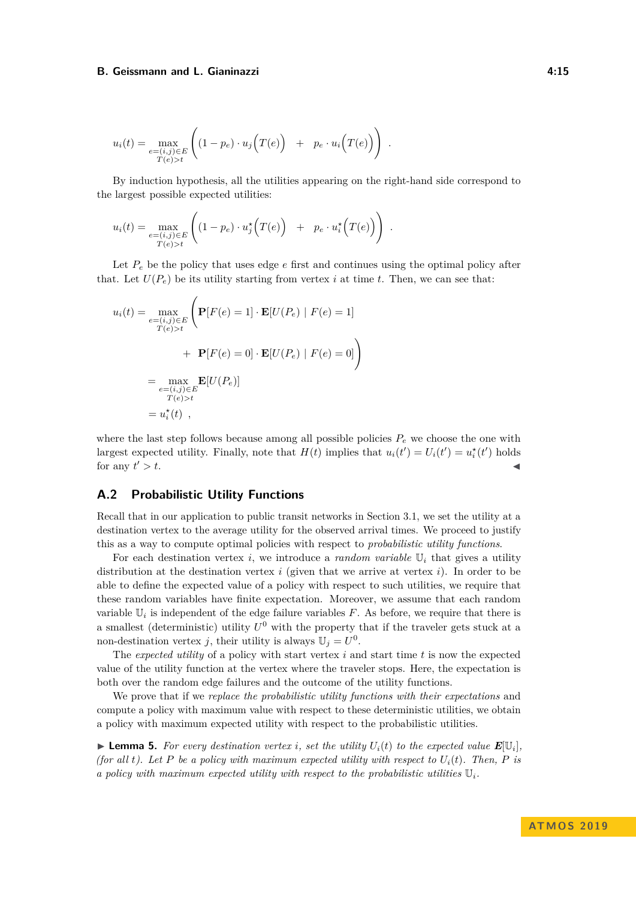$$
u_i(t) = \max_{\substack{e = (i,j)\in E \\ T(e) > t}} \left( (1-p_e) \cdot u_j\left(T(e)\right) + p_e \cdot u_i\left(T(e)\right) \right).
$$

By induction hypothesis, all the utilities appearing on the right-hand side correspond to the largest possible expected utilities:

$$
u_i(t) = \max_{\substack{e = (i,j)\in E \\ T(e) > t}} \left( (1-p_e) \cdot u_j^* \Big( T(e) \Big) + p_e \cdot u_i^* \Big( T(e) \Big) \right).
$$

Let  $P_e$  be the policy that uses edge  $e$  first and continues using the optimal policy after that. Let  $U(P_e)$  be its utility starting from vertex *i* at time *t*. Then, we can see that:

$$
u_i(t) = \max_{\substack{e = (i,j) \in E \\ T(e) > t}} \left( \mathbf{P}[F(e) = 1] \cdot \mathbf{E}[U(P_e) | F(e) = 1] + \mathbf{P}[F(e) = 0] \cdot \mathbf{E}[U(P_e) | F(e) = 0] \right)
$$
  
= 
$$
\max_{\substack{e = (i,j) \in E \\ T(e) > t}} \mathbf{E}[U(P_e)]
$$
  
= 
$$
u_i^*(t) ,
$$

where the last step follows because among all possible policies  $P_e$  we choose the one with largest expected utility. Finally, note that  $H(t)$  implies that  $u_i(t') = U_i(t') = u_i^*(t')$  holds for any  $t' > t$ .  $\prime > t$ .

# <span id="page-14-0"></span>**A.2 Probabilistic Utility Functions**

Recall that in our application to public transit networks in Section [3.1,](#page-8-0) we set the utility at a destination vertex to the average utility for the observed arrival times. We proceed to justify this as a way to compute optimal policies with respect to *probabilistic utility functions*.

For each destination vertex *i*, we introduce a *random variable*  $\mathbb{U}_i$  that gives a utility distribution at the destination vertex *i* (given that we arrive at vertex *i*). In order to be able to define the expected value of a policy with respect to such utilities, we require that these random variables have finite expectation. Moreover, we assume that each random variable  $\mathbb{U}_i$  is independent of the edge failure variables  $F$ . As before, we require that there is a smallest (deterministic) utility  $U^0$  with the property that if the traveler gets stuck at a non-destination vertex *j*, their utility is always  $\mathbb{U}_j = U^0$ .

The *expected utility* of a policy with start vertex *i* and start time *t* is now the expected value of the utility function at the vertex where the traveler stops. Here, the expectation is both over the random edge failures and the outcome of the utility functions.

We prove that if we *replace the probabilistic utility functions with their expectations* and compute a policy with maximum value with respect to these deterministic utilities, we obtain a policy with maximum expected utility with respect to the probabilistic utilities.

**Example 5.** For every destination vertex *i*, set the utility  $U_i(t)$  to the expected value  $E[\mathbb{U}_i]$ , *(for all t). Let*  $P$  *be a policy with maximum expected utility with respect to*  $U_i(t)$ *. Then,*  $P$  *is a policy with maximum expected utility with respect to the probabilistic utilities* U*i.*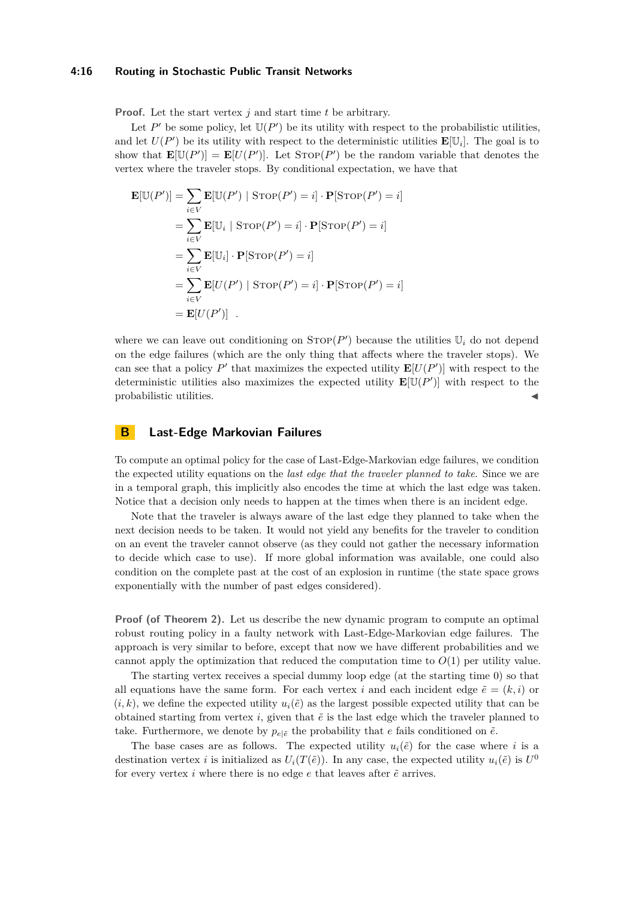#### **4:16 Routing in Stochastic Public Transit Networks**

**Proof.** Let the start vertex *j* and start time *t* be arbitrary.

Let  $P'$  be some policy, let  $\mathbb{U}(P')$  be its utility with respect to the probabilistic utilities, and let  $U(P')$  be its utility with respect to the deterministic utilities  $\mathbf{E}[\mathbb{U}_i]$ . The goal is to show that  $\mathbf{E}[\mathbb{U}(P')] = \mathbf{E}[U(P')]$ . Let  $\text{STOP}(P')$  be the random variable that denotes the vertex where the traveler stops. By conditional expectation, we have that

$$
\mathbf{E}[\mathbb{U}(P')] = \sum_{i \in V} \mathbf{E}[\mathbb{U}(P') | \text{STOP}(P') = i] \cdot \mathbf{P}[\text{STOP}(P') = i]
$$
  
\n
$$
= \sum_{i \in V} \mathbf{E}[\mathbb{U}_i | \text{STOP}(P') = i] \cdot \mathbf{P}[\text{STOP}(P') = i]
$$
  
\n
$$
= \sum_{i \in V} \mathbf{E}[\mathbb{U}_i] \cdot \mathbf{P}[\text{STOP}(P') = i]
$$
  
\n
$$
= \sum_{i \in V} \mathbf{E}[U(P') | \text{STOP}(P') = i] \cdot \mathbf{P}[\text{STOP}(P') = i]
$$
  
\n
$$
= \mathbf{E}[U(P')] .
$$

where we can leave out conditioning on  $\text{STOP}(P')$  because the utilities  $\mathbb{U}_i$  do not depend on the edge failures (which are the only thing that affects where the traveler stops). We can see that a policy  $P'$  that maximizes the expected utility  $\mathbf{E}[U(P')]$  with respect to the deterministic utilities also maximizes the expected utility  $\mathbf{E}[\mathbb{U}(P')]$  with respect to the probabilistic utilities. J

### <span id="page-15-0"></span>**B Last-Edge Markovian Failures**

To compute an optimal policy for the case of Last-Edge-Markovian edge failures, we condition the expected utility equations on the *last edge that the traveler planned to take*. Since we are in a temporal graph, this implicitly also encodes the time at which the last edge was taken. Notice that a decision only needs to happen at the times when there is an incident edge.

Note that the traveler is always aware of the last edge they planned to take when the next decision needs to be taken. It would not yield any benefits for the traveler to condition on an event the traveler cannot observe (as they could not gather the necessary information to decide which case to use). If more global information was available, one could also condition on the complete past at the cost of an explosion in runtime (the state space grows exponentially with the number of past edges considered).

**Proof (of Theorem [2\)](#page-7-2).** Let us describe the new dynamic program to compute an optimal robust routing policy in a faulty network with Last-Edge-Markovian edge failures. The approach is very similar to before, except that now we have different probabilities and we cannot apply the optimization that reduced the computation time to  $O(1)$  per utility value.

The starting vertex receives a special dummy loop edge (at the starting time 0) so that all equations have the same form. For each vertex *i* and each incident edge  $\tilde{e} = (k, i)$  or  $(i, k)$ , we define the expected utility  $u_i(\tilde{e})$  as the largest possible expected utility that can be obtained starting from vertex  $i$ , given that  $\tilde{e}$  is the last edge which the traveler planned to take. Furthermore, we denote by  $p_{e|\vec{e}}$  the probability that *e* fails conditioned on  $\tilde{e}$ .

The base cases are as follows. The expected utility  $u_i(\tilde{e})$  for the case where *i* is a destination vertex *i* is initialized as  $U_i(T(\tilde{e}))$ . In any case, the expected utility  $u_i(\tilde{e})$  is  $U^0$ for every vertex  $i$  where there is no edge  $e$  that leaves after  $\tilde{e}$  arrives.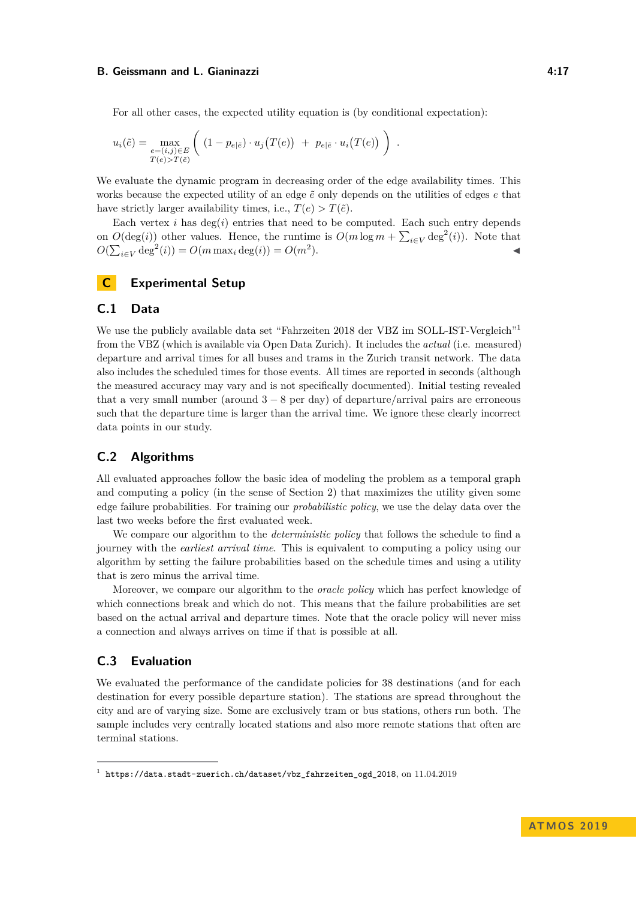For all other cases, the expected utility equation is (by conditional expectation):

$$
u_i(\tilde{e}) = \max_{\substack{e = (i,j) \in E \\ T(e) > T(\tilde{e})}} \left( (1 - p_{e|\tilde{e}}) \cdot u_j(T(e)) + p_{e|\tilde{e}} \cdot u_i(T(e)) \right).
$$

We evaluate the dynamic program in decreasing order of the edge availability times. This works because the expected utility of an edge  $\tilde{e}$  only depends on the utilities of edges  $e$  that have strictly larger availability times, i.e.,  $T(e) > T(\tilde{e})$ .

Each vertex  $i$  has  $deg(i)$  entries that need to be computed. Each such entry depends on  $O(\deg(i))$  other values. Hence, the runtime is  $O(m \log m + \sum_{i \in V} \deg^2(i))$ . Note that  $O(\sum_{i \in V} \deg^2(i)) = O(m \max_i \deg(i)) = O(m^2)$  $\blacksquare$ ).

# <span id="page-16-0"></span>**C Experimental Setup**

# **C.1 Data**

We use the publicly available data set "Fahrzeiten 20[1](#page-16-1)8 der VBZ im SOLL-IST-Vergleich"<sup>1</sup> from the VBZ (which is available via Open Data Zurich). It includes the *actual* (i.e. measured) departure and arrival times for all buses and trams in the Zurich transit network. The data also includes the scheduled times for those events. All times are reported in seconds (although the measured accuracy may vary and is not specifically documented). Initial testing revealed that a very small number (around  $3 - 8$  per day) of departure/arrival pairs are erroneous such that the departure time is larger than the arrival time. We ignore these clearly incorrect data points in our study.

# **C.2 Algorithms**

All evaluated approaches follow the basic idea of modeling the problem as a temporal graph and computing a policy (in the sense of Section [2\)](#page-5-1) that maximizes the utility given some edge failure probabilities. For training our *probabilistic policy*, we use the delay data over the last two weeks before the first evaluated week.

We compare our algorithm to the *deterministic policy* that follows the schedule to find a journey with the *earliest arrival time*. This is equivalent to computing a policy using our algorithm by setting the failure probabilities based on the schedule times and using a utility that is zero minus the arrival time.

Moreover, we compare our algorithm to the *oracle policy* which has perfect knowledge of which connections break and which do not. This means that the failure probabilities are set based on the actual arrival and departure times. Note that the oracle policy will never miss a connection and always arrives on time if that is possible at all.

# **C.3 Evaluation**

We evaluated the performance of the candidate policies for 38 destinations (and for each destination for every possible departure station). The stations are spread throughout the city and are of varying size. Some are exclusively tram or bus stations, others run both. The sample includes very centrally located stations and also more remote stations that often are terminal stations.

<span id="page-16-1"></span><sup>1</sup> [https://data.stadt-zuerich.ch/dataset/vbz\\_fahrzeiten\\_ogd\\_2018](https://data.stadt-zuerich.ch/dataset/vbz_fahrzeiten_ogd_2018), on 11.04.2019